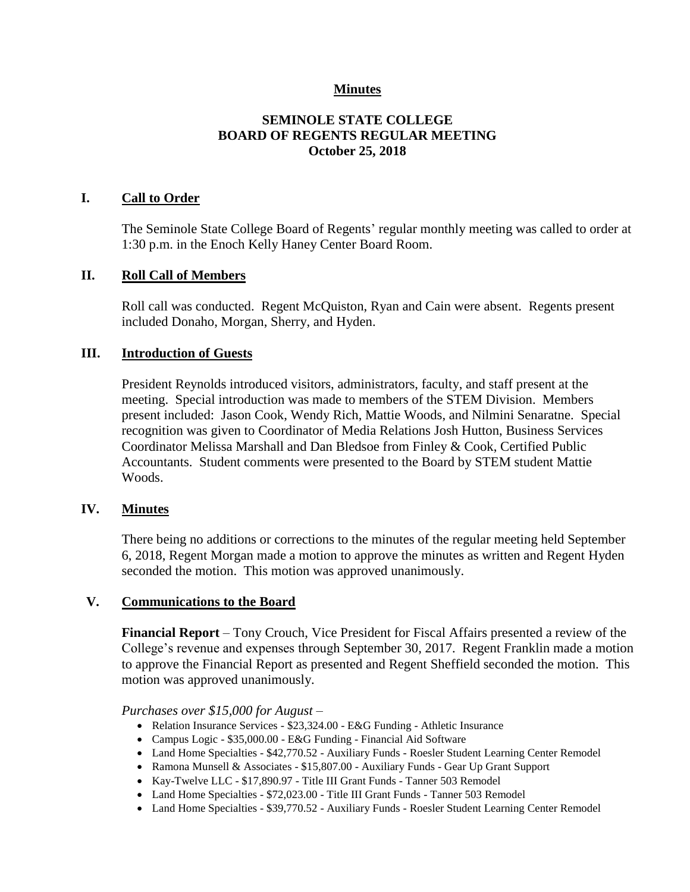## **Minutes**

## **SEMINOLE STATE COLLEGE BOARD OF REGENTS REGULAR MEETING October 25, 2018**

## **I. Call to Order**

The Seminole State College Board of Regents' regular monthly meeting was called to order at 1:30 p.m. in the Enoch Kelly Haney Center Board Room.

### **II. Roll Call of Members**

Roll call was conducted. Regent McQuiston, Ryan and Cain were absent. Regents present included Donaho, Morgan, Sherry, and Hyden.

### **III. Introduction of Guests**

President Reynolds introduced visitors, administrators, faculty, and staff present at the meeting. Special introduction was made to members of the STEM Division. Members present included: Jason Cook, Wendy Rich, Mattie Woods, and Nilmini Senaratne. Special recognition was given to Coordinator of Media Relations Josh Hutton, Business Services Coordinator Melissa Marshall and Dan Bledsoe from Finley & Cook, Certified Public Accountants. Student comments were presented to the Board by STEM student Mattie Woods.

## **IV. Minutes**

There being no additions or corrections to the minutes of the regular meeting held September 6, 2018, Regent Morgan made a motion to approve the minutes as written and Regent Hyden seconded the motion. This motion was approved unanimously.

#### **V. Communications to the Board**

**Financial Report** – Tony Crouch, Vice President for Fiscal Affairs presented a review of the College's revenue and expenses through September 30, 2017. Regent Franklin made a motion to approve the Financial Report as presented and Regent Sheffield seconded the motion. This motion was approved unanimously.

#### *Purchases over \$15,000 for August –*

- Relation Insurance Services \$23,324.00 E&G Funding Athletic Insurance
- Campus Logic \$35,000.00 E&G Funding Financial Aid Software
- Land Home Specialties \$42,770.52 Auxiliary Funds Roesler Student Learning Center Remodel
- Ramona Munsell & Associates \$15,807.00 Auxiliary Funds Gear Up Grant Support
- Kay-Twelve LLC \$17,890.97 Title III Grant Funds Tanner 503 Remodel
- Land Home Specialties \$72,023.00 Title III Grant Funds Tanner 503 Remodel
- Land Home Specialties \$39,770.52 Auxiliary Funds Roesler Student Learning Center Remodel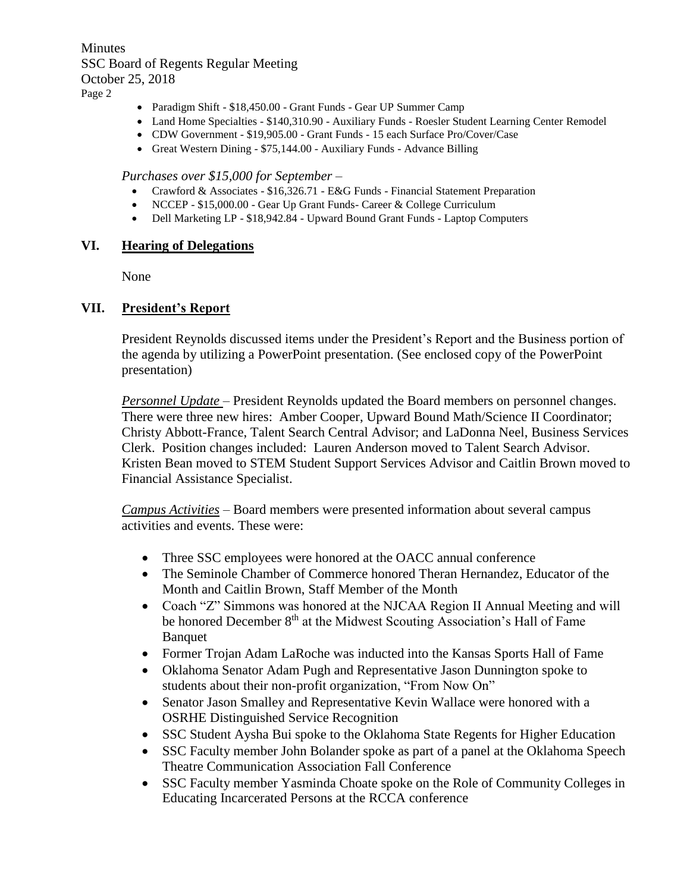**Minutes** SSC Board of Regents Regular Meeting October 25, 2018 Page 2

- Paradigm Shift \$18,450.00 Grant Funds Gear UP Summer Camp
- Land Home Specialties \$140,310.90 Auxiliary Funds Roesler Student Learning Center Remodel
- CDW Government \$19,905.00 Grant Funds 15 each Surface Pro/Cover/Case
- Great Western Dining \$75,144.00 Auxiliary Funds Advance Billing

#### *Purchases over \$15,000 for September –*

- Crawford & Associates \$16,326.71 E&G Funds Financial Statement Preparation
- NCCEP \$15,000.00 Gear Up Grant Funds- Career & College Curriculum
- Dell Marketing LP \$18,942.84 Upward Bound Grant Funds Laptop Computers

#### **VI. Hearing of Delegations**

None

#### **VII. President's Report**

President Reynolds discussed items under the President's Report and the Business portion of the agenda by utilizing a PowerPoint presentation. (See enclosed copy of the PowerPoint presentation)

*Personnel Update* – President Reynolds updated the Board members on personnel changes. There were three new hires: Amber Cooper, Upward Bound Math/Science II Coordinator; Christy Abbott-France, Talent Search Central Advisor; and LaDonna Neel, Business Services Clerk. Position changes included: Lauren Anderson moved to Talent Search Advisor. Kristen Bean moved to STEM Student Support Services Advisor and Caitlin Brown moved to Financial Assistance Specialist.

*Campus Activities* – Board members were presented information about several campus activities and events. These were:

- Three SSC employees were honored at the OACC annual conference
- The Seminole Chamber of Commerce honored Theran Hernandez, Educator of the Month and Caitlin Brown, Staff Member of the Month
- Coach "Z" Simmons was honored at the NJCAA Region II Annual Meeting and will be honored December 8<sup>th</sup> at the Midwest Scouting Association's Hall of Fame Banquet
- Former Trojan Adam LaRoche was inducted into the Kansas Sports Hall of Fame
- Oklahoma Senator Adam Pugh and Representative Jason Dunnington spoke to students about their non-profit organization, "From Now On"
- Senator Jason Smalley and Representative Kevin Wallace were honored with a OSRHE Distinguished Service Recognition
- SSC Student Aysha Bui spoke to the Oklahoma State Regents for Higher Education
- SSC Faculty member John Bolander spoke as part of a panel at the Oklahoma Speech Theatre Communication Association Fall Conference
- SSC Faculty member Yasminda Choate spoke on the Role of Community Colleges in Educating Incarcerated Persons at the RCCA conference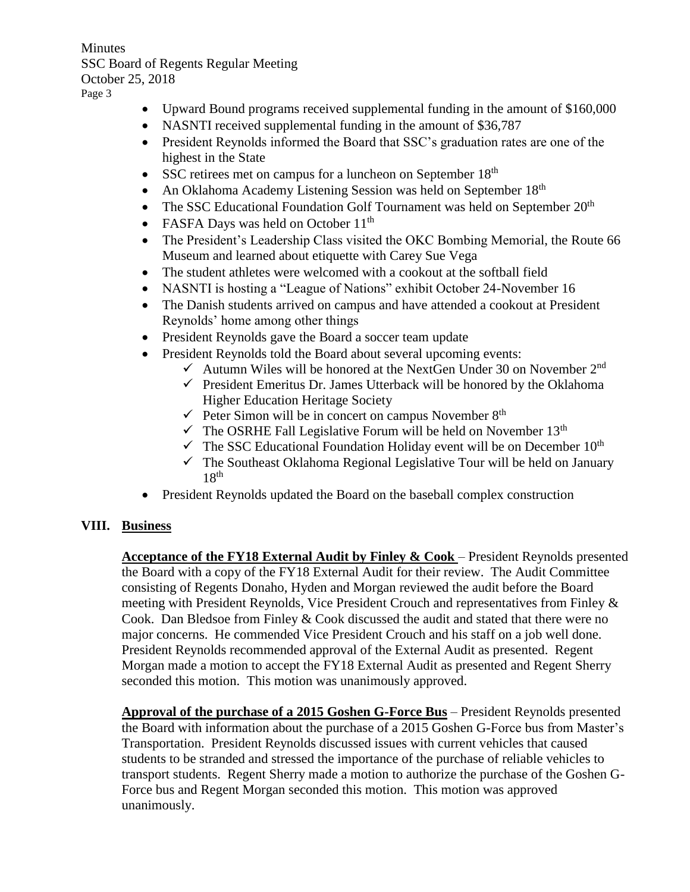**Minutes** SSC Board of Regents Regular Meeting October 25, 2018 Page 3

- Upward Bound programs received supplemental funding in the amount of \$160,000
- NASNTI received supplemental funding in the amount of \$36,787
- President Reynolds informed the Board that SSC's graduation rates are one of the highest in the State
- SSC retirees met on campus for a luncheon on September  $18<sup>th</sup>$
- An Oklahoma Academy Listening Session was held on September 18<sup>th</sup>
- The SSC Educational Foundation Golf Tournament was held on September  $20<sup>th</sup>$
- FASFA Days was held on October 11<sup>th</sup>
- The President's Leadership Class visited the OKC Bombing Memorial, the Route 66 Museum and learned about etiquette with Carey Sue Vega
- The student athletes were welcomed with a cookout at the softball field
- NASNTI is hosting a "League of Nations" exhibit October 24-November 16
- The Danish students arrived on campus and have attended a cookout at President Reynolds' home among other things
- President Reynolds gave the Board a soccer team update
- President Reynolds told the Board about several upcoming events:
	- $\checkmark$  Autumn Wiles will be honored at the NextGen Under 30 on November 2<sup>nd</sup>
	- $\checkmark$  President Emeritus Dr. James Utterback will be honored by the Oklahoma Higher Education Heritage Society
	- $\checkmark$  Peter Simon will be in concert on campus November 8<sup>th</sup>
	- $\checkmark$  The OSRHE Fall Legislative Forum will be held on November 13<sup>th</sup>
	- $\checkmark$  The SSC Educational Foundation Holiday event will be on December 10<sup>th</sup>
	- $\checkmark$  The Southeast Oklahoma Regional Legislative Tour will be held on January  $18<sup>th</sup>$
- President Reynolds updated the Board on the baseball complex construction

# **VIII. Business**

**Acceptance of the FY18 External Audit by Finley & Cook** – President Reynolds presented the Board with a copy of the FY18 External Audit for their review. The Audit Committee consisting of Regents Donaho, Hyden and Morgan reviewed the audit before the Board meeting with President Reynolds, Vice President Crouch and representatives from Finley  $\&$ Cook. Dan Bledsoe from Finley & Cook discussed the audit and stated that there were no major concerns. He commended Vice President Crouch and his staff on a job well done. President Reynolds recommended approval of the External Audit as presented. Regent Morgan made a motion to accept the FY18 External Audit as presented and Regent Sherry seconded this motion. This motion was unanimously approved.

**Approval of the purchase of a 2015 Goshen G-Force Bus** – President Reynolds presented the Board with information about the purchase of a 2015 Goshen G-Force bus from Master's Transportation. President Reynolds discussed issues with current vehicles that caused students to be stranded and stressed the importance of the purchase of reliable vehicles to transport students. Regent Sherry made a motion to authorize the purchase of the Goshen G-Force bus and Regent Morgan seconded this motion. This motion was approved unanimously.